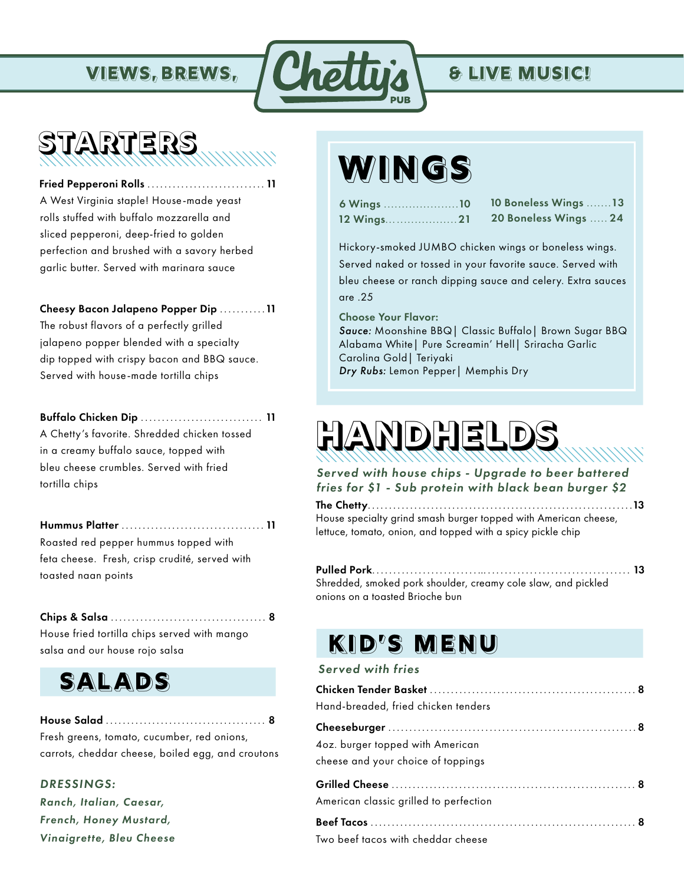

## **STARTERS**

 Fried Pepperoni Rolls ............................ 11 A West Virginia staple! House-made yeast rolls stuffed with buffalo mozzarella and sliced pepperoni, deep-fried to golden perfection and brushed with a savory herbed garlic butter. Served with marinara sauce

Cheesy Bacon Jalapeno Popper Dip ...........11 The robust flavors of a perfectly grilled jalapeno popper blended with a specialty dip topped with crispy bacon and BBQ sauce. Served with house-made tortilla chips

#### Buffalo Chicken Dip ............................. 11

A Chetty's favorite. Shredded chicken tossed in a creamy buffalo sauce, topped with bleu cheese crumbles. Served with fried tortilla chips

Hummus Platter .................................. 11 Roasted red pepper hummus topped with feta cheese. Fresh, crisp crudité, served with toasted naan points

Chips & Salsa ..................................... 8 House fried tortilla chips served with mango salsa and our house rojo salsa

### **SALADS**

House Salad ...................................... 8 Fresh greens, tomato, cucumber, red onions, carrots, cheddar cheese, boiled egg, and croutons

#### *DRESSINGS:*

*Ranch, Italian, Caesar, French, Honey Mustard, Vinaigrette, Bleu Cheese*

## **WINGS**

| 6 Wings 10 |  |  |  |  |
|------------|--|--|--|--|
| 12 Wings21 |  |  |  |  |

10 Boneless Wings .......13 20 Boneless Wings ..... 24

Hickory-smoked JUMBO chicken wings or boneless wings. Served naked or tossed in your favorite sauce. Served with bleu cheese or ranch dipping sauce and celery. Extra sauces are .25

Choose Your Flavor:

*Sauce:* Moonshine BBQ| Classic Buffalo| Brown Sugar BBQ Alabama White| Pure Screamin' Hell| Sriracha Garlic Carolina Gold| Teriyaki *Dry Rubs:* Lemon Pepper| Memphis Dry

# **HANDHELDS**

*Served with house chips - Upgrade to beer battered fries for \$1 - Sub protein with black bean burger \$2*

The Chetty...............................................................13 House specialty grind smash burger topped with American cheese, lettuce, tomato, onion, and topped with a spicy pickle chip

Pulled Pork.........................….................................. 13 Shredded, smoked pork shoulder, creamy cole slaw, and pickled onions on a toasted Brioche bun

## **KID'S MENU**

#### *Served with fries*

| Hand-breaded, fried chicken tenders                                    |
|------------------------------------------------------------------------|
|                                                                        |
| 4oz. burger topped with American<br>cheese and your choice of toppings |
|                                                                        |
| American classic grilled to perfection                                 |
|                                                                        |
| Two beef tacos with cheddar cheese                                     |